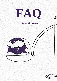

# **Litigation in Russia**



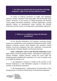#### **1. Are there any special rules for protection of foreign companies' rights in the Russian judicial system?**

In terms of judicial protection of rights and legitimate interests, foreign companies hold equal rights with the Russian legal entities. However, in the process of filing documents the Russian courts require document translation, consular legalization, issuing apostille (unless an international treaty between the Russian Federation and the country of incorporation contemplates otherwise).

#### **2. When are we entitled to choose the Russian jurisdiction?**

In the Russian Federation civil disputes involving foreign entities are considered in courts of general jurisdiction (mainly, family disputes involving citizens, labor disputes and consumer related disputes involving companies) and state «arbitrazh» (commercial) courts (mainly economic disputes involving businesses).

**State «arbitrazh» courts in the Russian Federation** handle legal matters involving foreign entities, international organizations, foreign residents, stateless persons, except the cases when the disputing parties establish the competence of a court of another state to consider the dispute or if:

1. the defendant is present or resides on the territory of the Russian Federation, or the defendant's property is located on the territory of the Russian Federation;

2. the managing body, a representative or branch office of the foreign person is located on the territory of the Russian Federation;

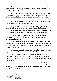3. the dispute arises from a contract, according to which the performance is to take place or took place on the territory of the Russian Federation;

4. the claim arises from the infliction of damage to property by an action or another circumstance, which took place on the territory of the Russian Federation, or if damage occurred on the territory of the Russian Federation;

5. the dispute arises from unjust enrichment, which took place on the territory of the Russian Federation;

6. in a case on the protection of business reputation, the plaintiff is located on the territory of the Russian Federation;

7. the dispute arises from relations concerning the circulation of securities, issued on the territory of the Russian Federation;

8. the applicant in a case on the establishment of a legally significant fact indicates the existence of the fact on the territory of the Russian Federation;

9. the dispute arises from relations concerning the state registration of domain names and other objects, and the rendering of services in the World Wide Web - the Internet - on the territory of the Russian Federation;

10. in other cases, involving close links between the disputed legal relation and the territory of the Russian Federation.

State «arbitrazh» courts in Russia consider cases that are pertained to their competence in accordance with the agreement of the parties (if it does not violate the exclusive jurisdiction of the courts of another country).

Courts of general jurisdiction in the Russian Federation consider cases involving foreign citizens, except the cases when the disputing parties establish the competence of a court of another state to consider the dispute or if:

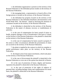1. the defendant-organization is present on the territory of the Russian Federation or the defendant person resides on the territory of the Russian Federation;

2. the managing body, a representative or branch office of the foreign person is located on the territory of the Russian Federation;

3. the defendant has property located on the territory of the Russian Federation or the defendant distributes advertisements in the World Wide Web - the Internet - aimed at attracting the attention of consumers located on the territory of the Russian Federation;

4. the defendant is domiciled on the territory of the Russian Federation in the matter of alimony recovery or establishment of paternity;

5. in the case of compensation for harm caused of injury to health, property damage or loss of breadwinner if the harm is caused on the territory of the Russian Federation or the plaintiff is domiciled on the territory of the Russian Federation;

6. in the case of compensation for harm caused to property if the action or other circumstances afforded the presentation of claim are occurred on the territory of the Russian Federation;

7. the plaint is implied by the contract in which its complete or partial performance takes place on the territory of the Russian Federation;

8. the dispute arises from unjust enrichment, which took place on the territory of the Russian Federation;

9. in the case of divorcement the plaintiff is domiciled in the Russian Federation or even one of the spouse has domicile in Russia;

10. in the case of protection of honor, dignity and business reputation the plaintiff is domiciled in the Russian Federation;

11. in the case of protection of the rights of subjects of personal data, including damage claims and compensations for moral harm, the plaintiff is domiciled in the Russian Federation;



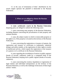12. in the case of termination of links' distribution by the search engine operator the plaintiff is domiciled in the Russian Federation.

#### **3. When are we obliged to choose the Russian jurisdiction?**

In **state «arbitrazh» courts in the Russian Federation** disputing party are obliged to submit the following cases:

1. cases concerning state property of the Russian Federation, including disputes concerning the privatization of state property and eminent domain;

2. cases, the subject matter in which is immovable property or the rights to it, if this property is located on the territory of the Russian Federation;

3. cases concerning the registration or issuance of patents, the registration and issuance of certificates to trademarks, industrial designs and utility models, or the registration of other rights to results of intellectual activity, which require the registration or the issuance of a patent or of a certificate in the Russian Federation;

4. cases regarding the invalidation of entries in public registers (books of records, cadastres), made by a competent body of the Russian Federation, keeping such a public register (books of records, cadastres);

5. cases concerning the creation, liquidation or registration of legal entities and individual entrepreneurs on the territory of the Russian Federation, as well as the challenge of decisions of these legal entities' bodies.

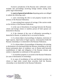Exclusive jurisdiction of the Russian state «arbitrazh» courts includes also proceedings involving foreign entities arising from public legal relationships.

In **courts of general jurisdiction** disputing parties are obliged to submit the following cases:

1. cases concerning the title to real property located on the territory of the Russian Federation;

2. cases arising from contracts of carriage, if the carriers reside on the territory of the Russian Federation;

3. in the case of dissolution of marriage between the Russian citizen and foreign citizen or stateless person (if both spouses are domiciled in Russia);

4. if the claimant of the case of affirmative proceeding is domiciled in Russia, or juridical fact is occurred in Russia;

5. if a citizen-object of proceedings of adoption, restriction of legal capacity, deprivation of legal capacity, emancipation holds the Russian citizenship or is domiciled in the Russian Federation;

6. if a citizen-object of proceedings of deeming to be missing or declaration to be deceased holds the Russian citizenship or his last known permanent place of residence was in Russia (and herewith establishment of right and obligation of the Russian citizens and entities is dependent on settlement of this question);

7. if ownerless property is occurred in the Russian Federation (in cases of declaration of ownership);

8. in cases of invalidation of lost and blocked securities the citizen or legal entity owned these securities hold the Russian citizenship or are domiciled in the Russian Federation.

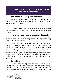### **4. Applicable substantive law in legal cases involving foreign persons and entities.**

## **Non-contractual and proprietary relationships**

The right of ownership and other property rights to immovable and movable property shall be determined by the law of the country where the property is located.

## **Unjust enrichment**

Obligations arising from unjust enrichment shall be governed by the legislation of the country where the unjust enrichment occurred.

If unjust enrichment has occurred as a result of an existing or estimated legal relationship in which the property was acquired, we should apply the law of the country to which this legal relationship was or could be subordinated.

*For example:* a company from Germany (supplier) and a company from Russia (buyer) agreed to settle a supply contract, and the buyer transferred prepayment before signing the contract. Subsequently the parties did not agree the terms of the contract and refused to conclude the contract. The supplier received unjust enrichment on the ground of the estimated legal relationship of the supply contract. The supply contract is governed by the law of the supplier country. Therefore, the BGB is applicable law in this situation.

## **Tort liability**

For obligations arising from tort liability the law of the country, where the action served as the basis for the claim for damages took place, is applicable. Whenever the harmful consequences ensue on the territory of one country, and the action causing these harmful

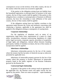consequences occurs on the territory of the other country, the law of the country where the action was occurred is applicable.

If the parties to the obligation arising from tort liability have the household registration or principal place of business in the same country, the law of that country shall be applied. If the parties to this obligation have a residence or principal place of business in different countries, but have the citizenship or state affiliation of the same country, the law of that country shall be applied.

If the obligation arising from tort liability correlates to the agreement made between the victim and tortfeasor concerning with conducting a business, applicable to the agreement law shall be applied to the obligation arising as consequence of causing harm.

## **Corporate relationships**

For the regulation of situations such as status of an organization, legal entity form, requirements of a name of a legal entity, incorporation, corporate restructuring, liquidation of a legal entity, legal succession, corporate capacity, procedure of acquisition of legal rights and obligations, internal affairs between founding participants, liability of members on shares, the law of the country of incorporation shall be applied.

## **Inheritance relationships**

Inheritance relationship governs by the law of the country where the testator had the last place of domicile (except as otherwise permitted by applicable law).

Inheritance of immovable property governs by the law of the country where this property is located. Inheritance of immovable property listed in the public registers of the Russian Federation governs by the Russian law.

## **Contractual legal relationship**

In general, if the parties to the contract reach an agreement of the applicable law, the Russian courts will apply exactly the law agreed by the parties. There are some exceptions – super-mandatory  $M_{\text{LMMERM}}^*$  8<br> $M_{\text{LMMERM}}^*$  8<br> $M_{\text{LMMERM}}^*$  8

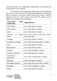rules (the Russian law is applicable independently of the agreed law by the parties to the contract).

In the absence of an agreement of the parties on the applicable law, the law of the country of the household registration or principal place of business of the party, which executes the contract, shall be applied (or the law of the country with which the contract and its subject have mostly close connection):

| <b>Contractual</b><br>legal<br>relationship | <b>Applicable law</b>                                   |
|---------------------------------------------|---------------------------------------------------------|
| Sales (trade)                               | Law of the seller's country                             |
| Gift contracts                              | Law of the donor's country                              |
| Lease                                       | Law of the lessor's country                             |
| of<br>hiring<br>Contracts<br>works          | Law of the country of the party which<br>executes works |
| Carriage                                    | Law of the carrier's country                            |
| Expedition of freight                       | Law of the forwarding agent's country                   |
| Loan                                        | Law of the lender's country                             |
| Bank deposit                                | Law of the bank's country                               |
| Custody                                     | Law of the custodier's country                          |
| Insurance contarcts                         | Law of the insurant's country                           |
| Commission<br>agreements                    | Law of the commissioner's country                       |
| Agenting                                    | Law of the agent's country                              |
| Providing of service                        | Law of the service provider's country                   |
| Mortgage                                    | Law of the mortgagor's country                          |
| Surety                                      | Law of the suretor's country                            |

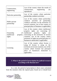| Constructions,<br>engineering                           | Law of the country where the results of<br>constructions, engineering<br>are<br>reproduced                                                                                                                                                                                                  |
|---------------------------------------------------------|---------------------------------------------------------------------------------------------------------------------------------------------------------------------------------------------------------------------------------------------------------------------------------------------|
| Particular partnership                                  | Law of the country where particular<br>partnership conducts activities                                                                                                                                                                                                                      |
| Public-private<br>partnership                           | Law of the country where partnership<br>conducts activities (if partnership<br>conducts activities on the territories of<br>several countries, law of the country of<br>principal place of business is applicable)                                                                          |
| Ownership<br>of 1<br>intellectual<br>property<br>rights | Law of the country where intellectual<br>property rights are exercising (if<br>intellectual property rights<br>are<br>exercising on the territories of several<br>countries, law of the country where<br>possessor of rights has principal place of<br>business/is domiciled is applicable) |
| Licensing                                               | Law of the country where license is<br>using (if license is using on the<br>territories of several countries, law of the<br>country where licenser has principal<br>place of business/is domiciled is<br>applicable)                                                                        |

**5. What is the period of prescription for judicial recourse according to the Russian law?**

As a rule, the period of prescription is three years calculated from the moment when the injured party found out or should have

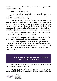found out about the violation of the rights, unless the law provides for exceptions to this rule.

Most important exceptions:

the period of prescription for judicial recourse of invalidation of transactions and enforcement of implications of an invalidated transaction is one year;

- the period of prescription for judicial recourse by the statement from a company participant of invalidation of resolution of general meeting of founders is two months from the date when a company participant found out or should have found out about resolution of general meeting of founders and its foundations of invalidation (for founders of joint-stock company – three months);

- the period of prescription for judicial recourse of violations of obligations to carriage contracts is one year;

- the period of prescription for judicial recourse of violations of obligations to shipping/forwarding contracts is one year;

- the period of prescription in cases of disposal of shares of joint-stock company involving violation of preemptive rights is three months from the date when a company participant found out or should have found out about such violation (for founders/participants of LLC – three months).

> **6. What is the amount of stamp duties for judicial recourse in the Russian courts?**

The amount of stamp duties depends on the stated claims and the court which reviews such cases.

Maximum amount of stamp duties for review of damage claims is 60 000 RUB in Courts of general jurisdiction in the Russian



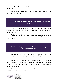Federation, 200 000 RUB – in State «arbitrazh» courts in the Russian Federation.

Stamp duties for review of non-material claims amount from 300 RUB to 6 000 RUB.

## **7. Who has a right to represent interests in the Russian courts?**

In most cases, persons with a higher legal education or an academic degree in a legal specialty can represent interests of citizens and legal entities in courts.

Authorized bodies of legal entities can also represent their interests in accordance with the law of the country of organizations' incorporation.

#### **8. What is the procedure of enforcement of foreign court decisions in Russia?**

To enforce foreign court decisions in the Russian Federation, it is necessary to request assistance of the Russian courts by submitting an appropriate application.

Foreign court decisions may be submitted for enforcement within three years from entry of decision into legal force (the moment of entry into legal force is determined by the law of the country where the decision is made).

The court refuses to recognize and enforce the decision of foreign courts in whole or in part if:

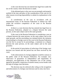1) the court decision has not entered into legal force under the law of the country where the decision is made;

2) the defeated party to the case was not promptly and properly notified of the time and place of the consideration of the case (or for other reasons involving impossibility to submit its explanations to the court);

3) consideration of the case in accordance with an international treaty of the Russian Federation or federal law falls within the exclusive competence of the court in the Russian Federation;

4) there is a court decision that has entered into legal force in the Russian Federation, adopted on a dispute between the same persons, on the same subject and on the same grounds;

5) the court in the Russian Federation is considering a case on a dispute between the same persons, on the same subject and on the same grounds, and the proceeding was initiated before the initiation of proceeding in a foreign court (or the court in the Russian Federation was the first to accept for its proceedings, a statement on a dispute between the same persons, on the same subject and on the same grounds);

6) the period of prescription of enforcing of the foreign court decision was missed and this period has not been received by the court;

7) the enforcement of a foreign judgment would be contrary to the public order of the Russian Federation. For example: nonobservance of guarantees of independence and impartiality of arbitrators, non-application of the substantive law of the country agreed by the parties, suspicions of transfer money across border with the help of foreign court decisions.

The decision may be enforced after ruling on the recognition and enforcement of a foreign court decision and its entry into force.

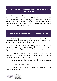#### **9. What are the alternative dispute resolution mechanisms in the Russian Federation?**

The Russian legal system is represented by such mechanisms of alternative dispute resolution (ADR) as arbitration, mediation, conciliation commissions, proceedings in administrative bodies, etc. At the same time, arbitration tribunals and Federal Antimonopoly Service of the Russian Federation (and its territorial bodies) are the most effective extra-judicial "instances".

#### **9.1. How does ADR by arbitration tribunals works in Russia?**

This paragraph contains information about institutional arbitration tribunals permanently operating on the territory of the Russian Federation (not about ad hoc arbitration).

Now there are four arbitration institutions operating on the territory of Russia, to which parties have the a to transfer consideration of a dispute on merits if the parties concluded an arbitration agreement.

Arbitration agreements handle issues of the place of arbitration, its procedure, the language of the proceedings, applicable law, apportionment of court fees, etc.

However, not all disputes can be referred to arbitration tribunals. The exceptions are:

1) bankruptcy proceedings;

2) disputes of denial of state registration of legal entities and individual entrepreneurs;

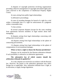3) disputes of copyright protection involving organizations providing collective management of copyright and related rights (also cases reserved to the competence of Intellectual Property Rights Court);

4) cases arising from public legal relationships;

5) affirmative proceedings;

6) cases of awarding damages for breach of a right for a trial within a reasonable time or a right for enforcement of a judgment within a reasonable time;

7) class actions;

8) several corporate disputes (except for the cases resulting from agreements between members of legal entities about their managing);

9) disputes arising from legal relationships concerning with selling state-owned assets;

10) disputes arising from legal relationships in the sphere of contracting procurement;

11) disputes arising from legal relationships in the sphere of compensation of environmental damages.

## **When we have a right to choose the Russian jurisdiction?**

Disputes can be resolved by the Russian arbitration tribunals if such possibility is referred to in arbitration agreements.

## **The substantive law of which country should the arbitration tribunals be guided by?**

As a rule, disputes are resolved in accordance with the Russian law. However, the parties to the arbitration agreement may select foreign law as applicable. Also, arbitration tribunals have a right, at its discretion, to apply foreign legislation.

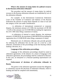#### **What is the amount of stamp duties for judicial recourse in the Russian arbitration tribunals?**

The procedure and the amount of stamp duties for judicial recourse in the Russian arbitration tribunals are established by acts of the arbitration tribunals.

*For example:* in the International Commercial Arbitration Court of the Chamber of Commerce and Industry of the Russian Federation the amount of stamp duties depends on value of suit and the category of the case under consideration:

- in arbitration of international commercial or corporate disputes, the minimum amount is \$ 3 000, the maximum is \$ 90 500  $+ 0.14\%$  of the amount over \$ 10 000 000 (excluding the registration fee of \$ 1 000 when filing a statement of claim);

- in arbitration of internal or sports disputes, the minimum amount is 10 000 RUB, the maximum is 600 000 RUB (excluding the registration fee of 10 000 RUB when filing a statement of claim).

Mentioned acts of arbitration tribunals also provide grounds for reducing the arbitration fees (in the case of a trial by a sole arbitrator, termination of the proceedings at the first hearing without making a decision, etc.).

## **Language of the arbitration proceedings.**

Language of the arbitration proceedings should be noted in arbitration agreements. In the absence of a clause of language in the arbitration agreement, the proceedings shall be conducted in Russian. In this case, an interpreter or a Russian-speaking representative are required.

## **Enforcement of decisions of arbitration tribunals in Russia.**

The parties to the arbitration agreement assume the obligation to voluntarily execute the decisions of arbitration tribunals, which is binding and shall be complied with immediately.

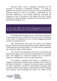However, there is also a compulsory mechanism for the execution of decisions of arbitration tribunals – by filing an application for issuance of writs of execution. The list of grounds for refusing issuance of writs of execution is determined by the procedural legislation of the Russian Federation (including the incapacity of one of the parties to the dispute, the lack of proper notification of the proceedings, contradiction with the public order of the Russian Federation, etc.).

**9.2. How does ADR by the Federal Antimonopoly Service of the Russian Federation (and its territorial bodies) work in Russia?**

The Federal Antimonopoly Service of the Russian Federation is a governmental body, considering cases between the competitions in the context of misbehavior by one of them (suggesting possible violation of competition law).

This administrative body does not resolve civil disputes directly. However, the governmental body decides whether the parties to the dispute do not use their rights in a way that restricts competition and violates the rights of other subjects.

The result of the consideration of the case is the decision and administrative agency rule to stop the unlawful behavior by the guilty party. The obligation to execute the adopted acts is ensured by measures of administrative coercion (rather large fines).

*For example:* a company from Russia is a competitor to a company from Germany doing business, including on the territory of the Russian Federation. A company from Russia repairs to methods of unfair competition, spreads an advertisement containing false information about the poor quality of goods produced by the company from Germany. This discrediting fact leads to an outflow of the

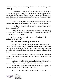Russian clients, entails incurring losses for the company from Germany.

In this situation, a company from Germany has a right to apply to the antimonopoly service with a statement about signs of unfair competition in the form of discrediting in the actions of the company from Germany. A positive outcome of the case in the antimonopoly authority will allow:

- firstly, to compel the unscrupulous competitor to stop the violation (remove the defamatory advertisement from circulation),

- secondly, to bring to administrative responsibility (in the form of large fines),

- thirdly, to collect all the necessary evidence base for going to court with a claim for the recovery of losses incurred from the illegal actions of a competitor.

#### **Which categories of cases adjudicated by the antimonopoly service?**

The antimonopoly authority resolves cases:

- on the abuse of monopoly and other entities dominating the market by their position in relations with other economic entities (in particular, in the field of the fuel and energy complex, transport, provision of communications services, communal infrastructure, etc.);

- on the facts of the conclusion of agreements and concerted actions that restrict competition in the market (including cartel agreements);

- on issues of unfair competition (discrediting, illegal use of commercial secrets, results of intellectual activity, etc.);

- in the field of contracting procurement (the legality of determining the winner, concluding contracts);

- in the field of advertising, its placement, distribution.

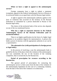#### **When we have a right to appeal to the antimonopoly service?**

Foreign companies have a right to submit a statement (complaint, appeal) to the Federal Antimonopoly Service of Russia or its territorial bodies on an equal basis with the Russian legal entities.

A right to appeal to the antimonopoly authority applies to the facts of violations that occurred on the territory of the Russian Federation or committed by a person domiciled in Russia or the Russian legal entity.

The choice of the territorial body of the service also depends on one of the two mentioned factors.

#### **Who has a right to represent interests in the Federal Antimonopoly Service of the Russian Federation (and its territorial bodies)?**

There is no higher qualification (in the form of a higher legal education or an academic degree) for representatives. A person who holds a power of attorney with the appropriate authority to act can be a representative.

#### **The substantive law (with participation of a foreign person or legal entity).**

In the process of resolving a case the antimonopoly body is guided by the law of the place where the violation of the antimonopoly law was committed, the law of the location of the violating competitor, that is exclusively by the Russian law.

#### **Period of prescription for recourse according to the Russian law.**

The general period of prescription for contacting the antimonopoly service is three years from the date of the violation of the antimonopoly legislation (in the case of a continuing violation, from the date of the end of the violation or its detection).